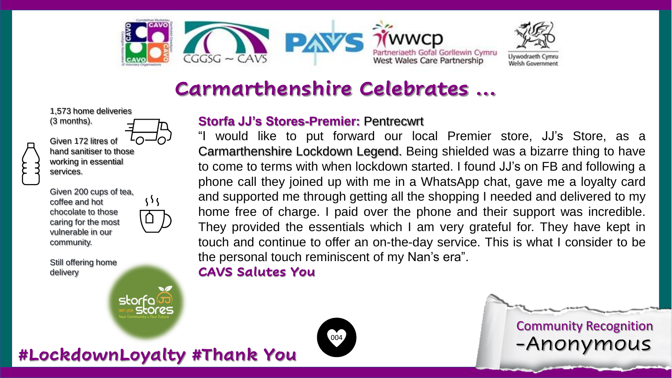



## **Carmarthenshire Celebrates …**

1,573 home deliveries (3 months).



Given 172 litres of hand sanitiser to those working in essential services.

 $\{5\}$ 

storfa

stores

Given 200 cups of tea, coffee and hot chocolate to those caring for the most vulnerable in our community.

Still offering home delivery

### **Storfa JJ's Stores-Premier:** Pentrecwrt

"I would like to put forward our local Premier store, JJ's Store, as a Carmarthenshire Lockdown Legend. Being shielded was a bizarre thing to have to come to terms with when lockdown started. I found JJ's on FB and following a phone call they joined up with me in a WhatsApp chat, gave me a loyalty card and supported me through getting all the shopping I needed and delivered to my home free of charge. I paid over the phone and their support was incredible. They provided the essentials which I am very grateful for. They have kept in touch and continue to offer an on-the-day service. This is what I consider to be the personal touch reminiscent of my Nan's era".

#### **CAVS Salutes You**



**#LockdownLoyalty #Thank You** -Anonymous Community Recognition